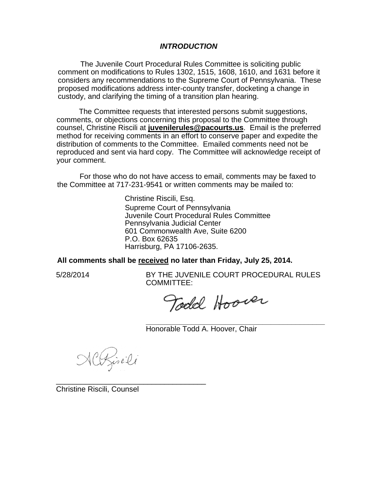### *INTRODUCTION*

The Juvenile Court Procedural Rules Committee is soliciting public comment on modifications to Rules 1302, 1515, 1608, 1610, and 1631 before it considers any recommendations to the Supreme Court of Pennsylvania. These proposed modifications address inter-county transfer, docketing a change in custody, and clarifying the timing of a transition plan hearing.

The Committee requests that interested persons submit suggestions, comments, or objections concerning this proposal to the Committee through counsel, Christine Riscili at **juvenilerules@pacourts.us**. Email is the preferred method for receiving comments in an effort to conserve paper and expedite the distribution of comments to the Committee. Emailed comments need not be reproduced and sent via hard copy. The Committee will acknowledge receipt of your comment.

For those who do not have access to email, comments may be faxed to the Committee at 717-231-9541 or written comments may be mailed to:

> Christine Riscili, Esq. Supreme Court of Pennsylvania Juvenile Court Procedural Rules Committee Pennsylvania Judicial Center 601 Commonwealth Ave, Suite 6200 P.O. Box 62635 Harrisburg, PA 17106-2635.

**All comments shall be received no later than Friday, July 25, 2014.**

5/28/2014 BY THE JUVENILE COURT PROCEDURAL RULES COMMITTEE:

Todd Hoover

**\_\_\_\_\_\_\_\_\_\_\_\_\_\_\_\_\_\_\_\_\_\_\_\_\_\_\_\_\_\_\_\_\_\_\_\_\_\_\_\_\_\_\_**  Honorable Todd A. Hoover, Chair

ACRisili

\_\_\_\_\_\_\_\_\_\_\_\_\_\_\_\_\_\_\_\_\_\_\_\_\_\_\_\_\_\_\_\_\_\_\_\_

Christine Riscili, Counsel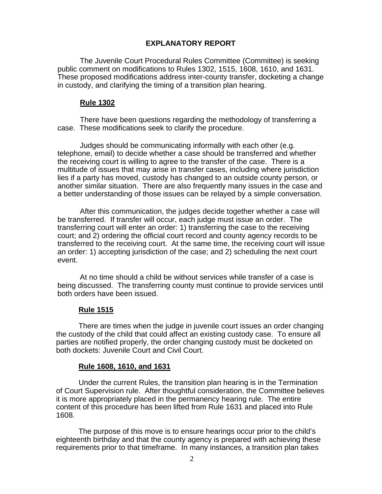# **EXPLANATORY REPORT**

The Juvenile Court Procedural Rules Committee (Committee) is seeking public comment on modifications to Rules 1302, 1515, 1608, 1610, and 1631. These proposed modifications address inter-county transfer, docketing a change in custody, and clarifying the timing of a transition plan hearing.

## **Rule 1302**

There have been questions regarding the methodology of transferring a case. These modifications seek to clarify the procedure.

Judges should be communicating informally with each other (e.g. telephone, email) to decide whether a case should be transferred and whether the receiving court is willing to agree to the transfer of the case. There is a multitude of issues that may arise in transfer cases, including where jurisdiction lies if a party has moved, custody has changed to an outside county person, or another similar situation. There are also frequently many issues in the case and a better understanding of those issues can be relayed by a simple conversation.

After this communication, the judges decide together whether a case will be transferred. If transfer will occur, each judge must issue an order. The transferring court will enter an order: 1) transferring the case to the receiving court; and 2) ordering the official court record and county agency records to be transferred to the receiving court. At the same time, the receiving court will issue an order: 1) accepting jurisdiction of the case; and 2) scheduling the next court event.

At no time should a child be without services while transfer of a case is being discussed. The transferring county must continue to provide services until both orders have been issued.

### **Rule 1515**

There are times when the judge in juvenile court issues an order changing the custody of the child that could affect an existing custody case. To ensure all parties are notified properly, the order changing custody must be docketed on both dockets: Juvenile Court and Civil Court.

### **Rule 1608, 1610, and 1631**

Under the current Rules, the transition plan hearing is in the Termination of Court Supervision rule. After thoughtful consideration, the Committee believes it is more appropriately placed in the permanency hearing rule. The entire content of this procedure has been lifted from Rule 1631 and placed into Rule 1608.

The purpose of this move is to ensure hearings occur prior to the child's eighteenth birthday and that the county agency is prepared with achieving these requirements prior to that timeframe. In many instances, a transition plan takes